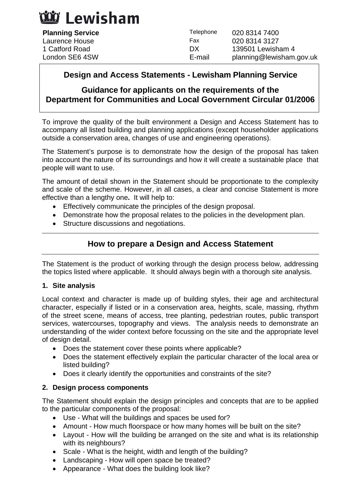# นัม Lewisham

| <b>Planning Service</b> | Telephone | 020 8314 7400            |
|-------------------------|-----------|--------------------------|
| Laurence House          | Fax       | 020 8314 3127            |
| 1 Catford Road          | DX        | 139501 Lewisham 4        |
| London SE6 4SW          | E-mail    | planning@lewisham.gov.uk |

## **Design and Access Statements - Lewisham Planning Service**

## **Guidance for applicants on the requirements of the Department for Communities and Local Government Circular 01/2006**

To improve the quality of the built environment a Design and Access Statement has to accompany all listed building and planning applications (except householder applications outside a conservation area, changes of use and engineering operations).

The Statement's purpose is to demonstrate how the design of the proposal has taken into account the nature of its surroundings and how it will create a sustainable place that people will want to use.

The amount of detail shown in the Statement should be proportionate to the complexity and scale of the scheme. However, in all cases, a clear and concise Statement is more effective than a lengthy one**.** It will help to:

- Effectively communicate the principles of the design proposal.
- Demonstrate how the proposal relates to the policies in the development plan.
- Structure discussions and negotiations.

## **How to prepare a Design and Access Statement**

The Statement is the product of working through the design process below, addressing the topics listed where applicable. It should always begin with a thorough site analysis.

#### **1. Site analysis**

Local context and character is made up of building styles, their age and architectural character, especially if listed or in a conservation area, heights, scale, massing, rhythm of the street scene, means of access, tree planting, pedestrian routes, public transport services, watercourses, topography and views. The analysis needs to demonstrate an understanding of the wider context before focussing on the site and the appropriate level of design detail.

- Does the statement cover these points where applicable?
- Does the statement effectively explain the particular character of the local area or listed building?
- Does it clearly identify the opportunities and constraints of the site?

#### **2. Design process components**

The Statement should explain the design principles and concepts that are to be applied to the particular components of the proposal:

- Use What will the buildings and spaces be used for?
- Amount How much floorspace or how many homes will be built on the site?
- Layout How will the building be arranged on the site and what is its relationship with its neighbours?
- Scale What is the height, width and length of the building?
- Landscaping How will open space be treated?
- Appearance What does the building look like?